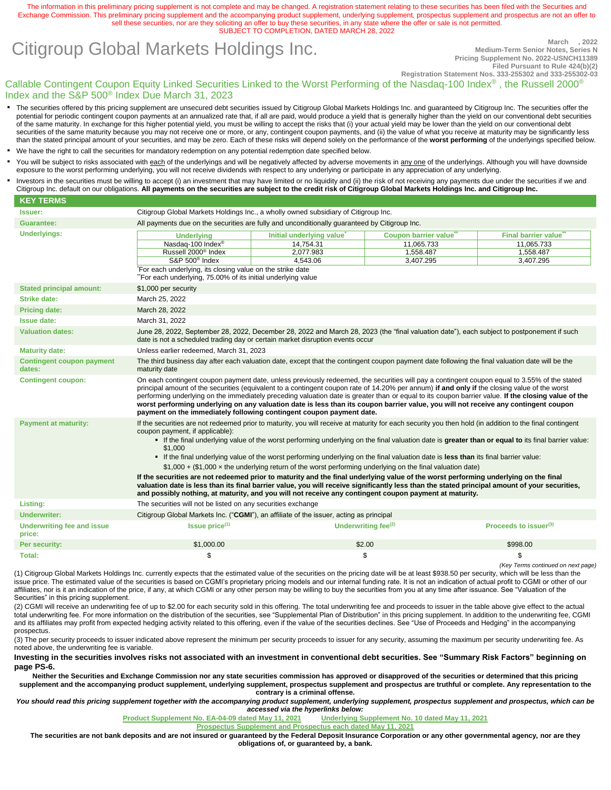The information in this preliminary pricing supplement is not complete and may be changed. A registration statement relating to these securities has been filed with the Securities and Exchange Commission. This preliminary pricing supplement and the accompanying product supplement, underlying supplement, prospectus supplement and prospectus are not an offer to sell these securities, nor are they soliciting an offer to buy these securities, in any state where the offer or sale is not permitted. SUBJECT TO COMPLETION, DATED MARCH 28, 2022

# **Citigroup Global Markets Holdings Inc.** Medium-Term Senior Notes, Series N

**Medium-Term Senior Notes, Series N Pricing Supplement No. 2022-USNCH11389 Filed Pursuant to Rule 424(b)(2)**

*(Key Terms continued on next page)*

Callable Contingent Coupon Equity Linked Securities Linked to the Worst Performing of the Nasdaq-100 Index® , the Russell 2000® Index and the S&P 500® Index Due March 31, 2023 **Registration Statement Nos. 333-255302 and 333-255302-03**

- The securities offered by this pricing supplement are unsecured debt securities issued by Citigroup Global Markets Holdings Inc. and guaranteed by Citigroup Inc. The securities offer the potential for periodic contingent coupon payments at an annualized rate that, if all are paid, would produce a yield that is generally higher than the yield on our conventional debt securities of the same maturity. In exchange for this higher potential yield, you must be willing to accept the risks that (i) your actual yield may be lower than the yield on our conventional debt securities of the same maturity because you may not receive one or more, or any, contingent coupon payments, and (ii) the value of what you receive at maturity may be significantly less than the stated principal amount of your securities, and may be zero. Each of these risks will depend solely on the performance of the **worst performing** of the underlyings specified below.
- We have the right to call the securities for mandatory redemption on any potential redemption date specified below.
- You will be subject to risks associated with each of the underlyings and will be negatively affected by adverse movements in any one of the underlyings. Although you will have downside exposure to the worst performing underlying, you will not receive dividends with respect to any underlying or participate in any appreciation of any underlying.
- Investors in the securities must be willing to accept (i) an investment that may have limited or no liquidity and (ii) the risk of not receiving any payments due under the securities if we and Citigroup Inc. default on our obligations. **All payments on the securities are subject to the credit risk of Citigroup Global Markets Holdings Inc. and Citigroup Inc.**

| <b>KEY TERMS</b>                            |                                                                                                                                                                                                                                                                                                                                                                                                                                                                                                                                                                                                                                                                     |                                                                                                                                                                                                                                                                                             |                      |                                   |  |
|---------------------------------------------|---------------------------------------------------------------------------------------------------------------------------------------------------------------------------------------------------------------------------------------------------------------------------------------------------------------------------------------------------------------------------------------------------------------------------------------------------------------------------------------------------------------------------------------------------------------------------------------------------------------------------------------------------------------------|---------------------------------------------------------------------------------------------------------------------------------------------------------------------------------------------------------------------------------------------------------------------------------------------|----------------------|-----------------------------------|--|
| <b>Issuer:</b>                              | Citigroup Global Markets Holdings Inc., a wholly owned subsidiary of Citigroup Inc.                                                                                                                                                                                                                                                                                                                                                                                                                                                                                                                                                                                 |                                                                                                                                                                                                                                                                                             |                      |                                   |  |
| <b>Guarantee:</b>                           | All payments due on the securities are fully and unconditionally quaranteed by Citigroup Inc.                                                                                                                                                                                                                                                                                                                                                                                                                                                                                                                                                                       |                                                                                                                                                                                                                                                                                             |                      |                                   |  |
| <b>Underlyings:</b>                         | <b>Underlying</b>                                                                                                                                                                                                                                                                                                                                                                                                                                                                                                                                                                                                                                                   | Initial underlying value                                                                                                                                                                                                                                                                    | Coupon barrier value | Final barrier value               |  |
|                                             | Nasdaq-100 Index®                                                                                                                                                                                                                                                                                                                                                                                                                                                                                                                                                                                                                                                   | 14.754.31                                                                                                                                                                                                                                                                                   | 11.065.733           | 11.065.733                        |  |
|                                             | Russell 2000 <sup>®</sup> Index                                                                                                                                                                                                                                                                                                                                                                                                                                                                                                                                                                                                                                     | 2.077.983                                                                                                                                                                                                                                                                                   | 1.558.487            | 1.558.487                         |  |
|                                             | S&P 500 <sup>®</sup> Index                                                                                                                                                                                                                                                                                                                                                                                                                                                                                                                                                                                                                                          | 4.543.06                                                                                                                                                                                                                                                                                    | 3,407.295            | 3,407.295                         |  |
|                                             | For each underlying, its closing value on the strike date<br>"For each underlying, 75.00% of its initial underlying value                                                                                                                                                                                                                                                                                                                                                                                                                                                                                                                                           |                                                                                                                                                                                                                                                                                             |                      |                                   |  |
| <b>Stated principal amount:</b>             | \$1,000 per security                                                                                                                                                                                                                                                                                                                                                                                                                                                                                                                                                                                                                                                |                                                                                                                                                                                                                                                                                             |                      |                                   |  |
| <b>Strike date:</b>                         | March 25, 2022                                                                                                                                                                                                                                                                                                                                                                                                                                                                                                                                                                                                                                                      |                                                                                                                                                                                                                                                                                             |                      |                                   |  |
| <b>Pricing date:</b>                        | March 28, 2022                                                                                                                                                                                                                                                                                                                                                                                                                                                                                                                                                                                                                                                      |                                                                                                                                                                                                                                                                                             |                      |                                   |  |
| <b>Issue date:</b>                          | March 31, 2022                                                                                                                                                                                                                                                                                                                                                                                                                                                                                                                                                                                                                                                      |                                                                                                                                                                                                                                                                                             |                      |                                   |  |
| <b>Valuation dates:</b>                     | June 28, 2022, September 28, 2022, December 28, 2022 and March 28, 2023 (the "final valuation date"), each subject to postponement if such<br>date is not a scheduled trading day or certain market disruption events occur                                                                                                                                                                                                                                                                                                                                                                                                                                         |                                                                                                                                                                                                                                                                                             |                      |                                   |  |
| <b>Maturity date:</b>                       | Unless earlier redeemed, March 31, 2023                                                                                                                                                                                                                                                                                                                                                                                                                                                                                                                                                                                                                             |                                                                                                                                                                                                                                                                                             |                      |                                   |  |
| <b>Contingent coupon payment</b><br>dates:  | The third business day after each valuation date, except that the contingent coupon payment date following the final valuation date will be the<br>maturity date                                                                                                                                                                                                                                                                                                                                                                                                                                                                                                    |                                                                                                                                                                                                                                                                                             |                      |                                   |  |
| <b>Contingent coupon:</b>                   | On each contingent coupon payment date, unless previously redeemed, the securities will pay a contingent coupon equal to 3.55% of the stated<br>principal amount of the securities (equivalent to a contingent coupon rate of 14.20% per annum) if and only if the closing value of the worst<br>performing underlying on the immediately preceding valuation date is greater than or equal to its coupon barrier value. If the closing value of the<br>worst performing underlying on any valuation date is less than its coupon barrier value, you will not receive any contingent coupon<br>payment on the immediately following contingent coupon payment date. |                                                                                                                                                                                                                                                                                             |                      |                                   |  |
| <b>Payment at maturity:</b>                 | If the securities are not redeemed prior to maturity, you will receive at maturity for each security you then hold (in addition to the final contingent<br>coupon payment, if applicable):<br>\$1,000                                                                                                                                                                                                                                                                                                                                                                                                                                                               | • If the final underlying value of the worst performing underlying on the final valuation date is greater than or equal to its final barrier value:<br>• If the final underlying value of the worst performing underlying on the final valuation date is less than its final barrier value: |                      |                                   |  |
|                                             | $$1,000 + ($1,000 \times the$ underlying return of the worst performing underlying on the final valuation date)                                                                                                                                                                                                                                                                                                                                                                                                                                                                                                                                                     |                                                                                                                                                                                                                                                                                             |                      |                                   |  |
|                                             | If the securities are not redeemed prior to maturity and the final underlying value of the worst performing underlying on the final<br>valuation date is less than its final barrier value, you will receive significantly less than the stated principal amount of your securities,<br>and possibly nothing, at maturity, and you will not receive any contingent coupon payment at maturity.                                                                                                                                                                                                                                                                      |                                                                                                                                                                                                                                                                                             |                      |                                   |  |
| Listing:                                    | The securities will not be listed on any securities exchange                                                                                                                                                                                                                                                                                                                                                                                                                                                                                                                                                                                                        |                                                                                                                                                                                                                                                                                             |                      |                                   |  |
| <b>Underwriter:</b>                         | Citigroup Global Markets Inc. ("CGMI"), an affiliate of the issuer, acting as principal                                                                                                                                                                                                                                                                                                                                                                                                                                                                                                                                                                             |                                                                                                                                                                                                                                                                                             |                      |                                   |  |
| <b>Underwriting fee and issue</b><br>price: | Is sue price <sup>(1)</sup>                                                                                                                                                                                                                                                                                                                                                                                                                                                                                                                                                                                                                                         | Underwriting fee <sup>(2)</sup>                                                                                                                                                                                                                                                             |                      | Proceeds to issuer <sup>(3)</sup> |  |
| Per security:                               | \$1,000.00                                                                                                                                                                                                                                                                                                                                                                                                                                                                                                                                                                                                                                                          | \$2.00                                                                                                                                                                                                                                                                                      |                      | \$998.00                          |  |
| Total:                                      | \$                                                                                                                                                                                                                                                                                                                                                                                                                                                                                                                                                                                                                                                                  | \$                                                                                                                                                                                                                                                                                          |                      | \$                                |  |

(1) Citigroup Global Markets Holdings Inc. currently expects that the estimated value of the securities on the pricing date will be at least \$938.50 per security, which will be less than the issue price. The estimated value of the securities is based on CGMI's proprietary pricing models and our internal funding rate. It is not an indication of actual profit to CGMI or other of our affiliates, nor is it an indication of the price, if any, at which CGMI or any other person may be willing to buy the securities from you at any time after issuance. See "Valuation of the Securities" in this pricing supplement.

(2) CGMI will receive an underwriting fee of up to \$2.00 for each security sold in this offering. The total underwriting fee and proceeds to issuer in the table above give effect to the actual total underwriting fee. For more information on the distribution of the securities, see "Supplemental Plan of Distribution" in this pricing supplement. In addition to the underwriting fee, CGMI and its affiliates may profit from expected hedging activity related to this offering, even if the value of the securities declines. See "Use of Proceeds and Hedging" in the accompanying prospectus.

(3) The per security proceeds to issuer indicated above represent the minimum per security proceeds to issuer for any security, assuming the maximum per security underwriting fee. As noted above, the underwriting fee is variable.

**Investing in the securities involves risks not associated with an investment in conventional debt securities. See "Summary Risk Factors" beginning on page PS[-6.](#page-5-0)**

**Neither the Securities and Exchange Commission nor any state securities commission has approved or disapproved of the securities or determined that this pricing**  supplement and the accompanying product supplement, underlying supplement, prospectus supplement and prospectus are truthful or complete. Any representation to the **contrary is a criminal offense.**

You should read this pricing supplement together with the accompanying product supplement, underlying supplement, prospectus supplement and prospectus, which can be *accessed via the hyperlinks below:*

**[Product Supplement No. EA-04-09 dated May 11, 2021](https://www.sec.gov/Archives/edgar/data/0000831001/000095010321007044/dp150747_424b2-coba0409.htm) [Underlying Supplement No. 10 dated May 11, 2021](https://www.sec.gov/Archives/edgar/data/200245/000095010321007028/dp150879_424b2-us10.htm)**

**[Prospectus Supplement and Prospectus each dated May 11, 2021](https://www.sec.gov/Archives/edgar/data/200245/000119312521157552/d423193d424b2.htm)**

**The securities are not bank deposits and are not insured or guaranteed by the Federal Deposit Insurance Corporation or any other governmental agency, nor are they obligations of, or guaranteed by, a bank.**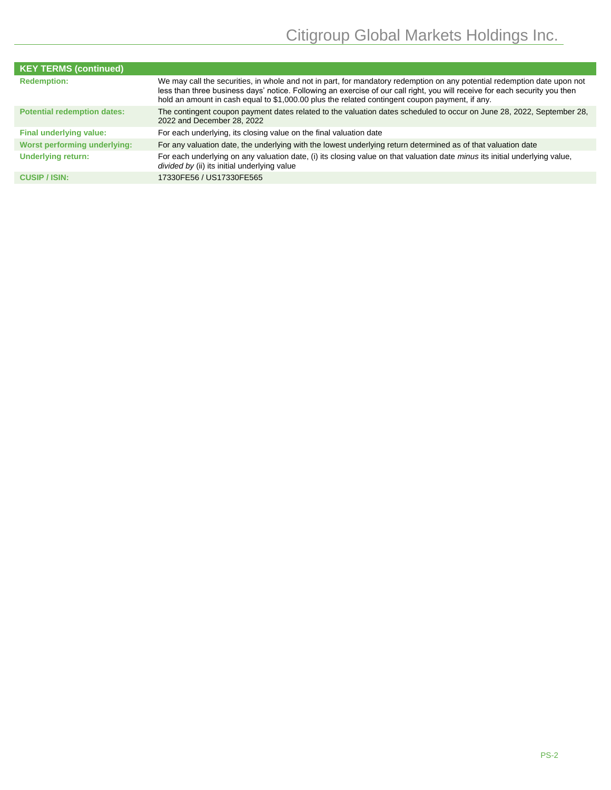| <b>KEY TERMS (continued)</b>       |                                                                                                                                                                                                                                                                                                                                                           |
|------------------------------------|-----------------------------------------------------------------------------------------------------------------------------------------------------------------------------------------------------------------------------------------------------------------------------------------------------------------------------------------------------------|
| <b>Redemption:</b>                 | We may call the securities, in whole and not in part, for mandatory redemption on any potential redemption date upon not<br>less than three business days' notice. Following an exercise of our call right, you will receive for each security you then<br>hold an amount in cash equal to \$1,000.00 plus the related contingent coupon payment, if any. |
| <b>Potential redemption dates:</b> | The contingent coupon payment dates related to the valuation dates scheduled to occur on June 28, 2022, September 28,<br>2022 and December 28, 2022                                                                                                                                                                                                       |
| Final underlying value:            | For each underlying, its closing value on the final valuation date                                                                                                                                                                                                                                                                                        |
| Worst performing underlying:       | For any valuation date, the underlying with the lowest underlying return determined as of that valuation date                                                                                                                                                                                                                                             |
| <b>Underlying return:</b>          | For each underlying on any valuation date, (i) its closing value on that valuation date minus its initial underlying value,<br>divided by (ii) its initial underlying value                                                                                                                                                                               |
| <b>CUSIP</b> / ISIN:               | 17330FE56 / US17330FE565                                                                                                                                                                                                                                                                                                                                  |
|                                    |                                                                                                                                                                                                                                                                                                                                                           |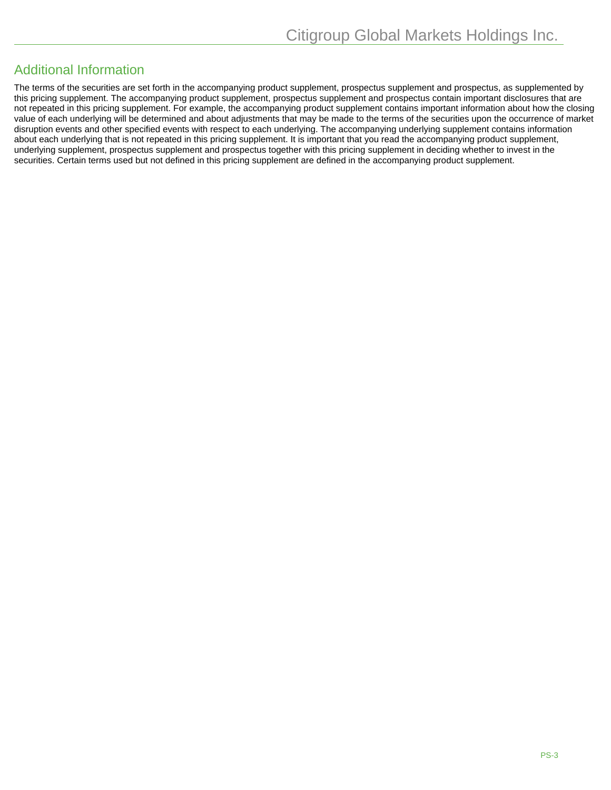### Additional Information

The terms of the securities are set forth in the accompanying product supplement, prospectus supplement and prospectus, as supplemented by this pricing supplement. The accompanying product supplement, prospectus supplement and prospectus contain important disclosures that are not repeated in this pricing supplement. For example, the accompanying product supplement contains important information about how the closing value of each underlying will be determined and about adjustments that may be made to the terms of the securities upon the occurrence of market disruption events and other specified events with respect to each underlying. The accompanying underlying supplement contains information about each underlying that is not repeated in this pricing supplement. It is important that you read the accompanying product supplement, underlying supplement, prospectus supplement and prospectus together with this pricing supplement in deciding whether to invest in the securities. Certain terms used but not defined in this pricing supplement are defined in the accompanying product supplement.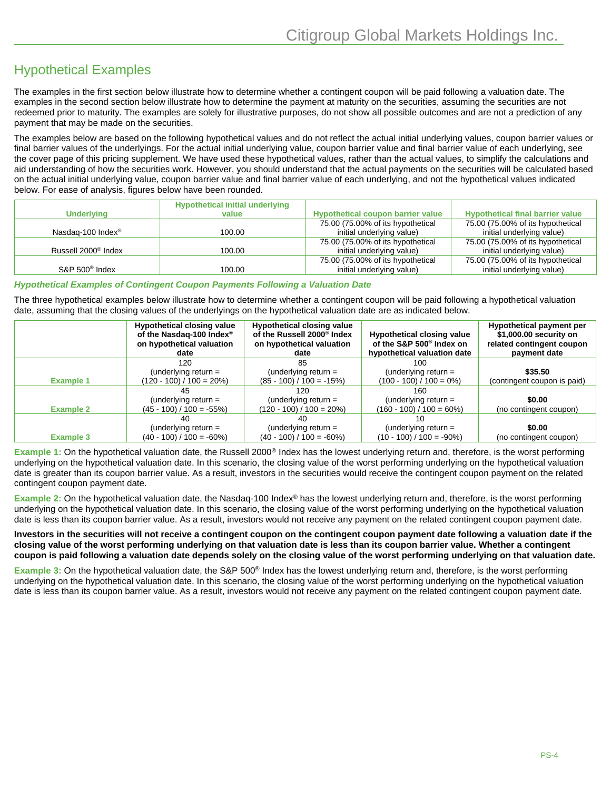## Hypothetical Examples

The examples in the first section below illustrate how to determine whether a contingent coupon will be paid following a valuation date. The examples in the second section below illustrate how to determine the payment at maturity on the securities, assuming the securities are not redeemed prior to maturity. The examples are solely for illustrative purposes, do not show all possible outcomes and are not a prediction of any payment that may be made on the securities.

The examples below are based on the following hypothetical values and do not reflect the actual initial underlying values, coupon barrier values or final barrier values of the underlyings. For the actual initial underlying value, coupon barrier value and final barrier value of each underlying, see the cover page of this pricing supplement. We have used these hypothetical values, rather than the actual values, to simplify the calculations and aid understanding of how the securities work. However, you should understand that the actual payments on the securities will be calculated based on the actual initial underlying value, coupon barrier value and final barrier value of each underlying, and not the hypothetical values indicated below. For ease of analysis, figures below have been rounded.

|                                 | <b>Hypothetical initial underlying</b> |                                          |                                         |
|---------------------------------|----------------------------------------|------------------------------------------|-----------------------------------------|
| <b>Underlying</b>               | value                                  | <b>Hypothetical coupon barrier value</b> | <b>Hypothetical final barrier value</b> |
|                                 |                                        | 75.00 (75.00% of its hypothetical        | 75.00 (75.00% of its hypothetical       |
| Nasdag-100 Index <sup>®</sup>   | 100.00                                 | initial underlying value)                | initial underlying value)               |
|                                 |                                        | 75.00 (75.00% of its hypothetical        | 75.00 (75.00% of its hypothetical       |
| Russell 2000 <sup>®</sup> Index | 100.00                                 | initial underlying value)                | initial underlying value)               |
|                                 |                                        | 75.00 (75.00% of its hypothetical        | 75.00 (75.00% of its hypothetical       |
| $S\&P 500^{\circ}$ Index        | 100.00                                 | initial underlying value)                | initial underlying value)               |

#### *Hypothetical Examples of Contingent Coupon Payments Following a Valuation Date*

The three hypothetical examples below illustrate how to determine whether a contingent coupon will be paid following a hypothetical valuation date, assuming that the closing values of the underlyings on the hypothetical valuation date are as indicated below.

|                  | <b>Hypothetical closing value</b><br>of the Nasdaq-100 Index <sup>®</sup><br>on hypothetical valuation<br>date | <b>Hypothetical closing value</b><br>of the Russell 2000 <sup>®</sup> Index<br>on hypothetical valuation<br>date | <b>Hypothetical closing value</b><br>of the S&P 500 <sup>®</sup> Index on<br>hypothetical valuation date | <b>Hypothetical payment per</b><br>\$1,000.00 security on<br>related contingent coupon<br>payment date |
|------------------|----------------------------------------------------------------------------------------------------------------|------------------------------------------------------------------------------------------------------------------|----------------------------------------------------------------------------------------------------------|--------------------------------------------------------------------------------------------------------|
|                  | 120                                                                                                            | 85                                                                                                               | 100                                                                                                      |                                                                                                        |
| <b>Example 1</b> | (underlying return $=$<br>$(120 - 100) / 100 = 20\%)$                                                          | (underlying return $=$<br>$(85 - 100) / 100 = -15\%)$                                                            | (underlying return $=$<br>$(100 - 100) / 100 = 0\%)$                                                     | \$35.50<br>(contingent coupon is paid)                                                                 |
|                  | 45                                                                                                             | 120                                                                                                              | 160                                                                                                      |                                                                                                        |
| <b>Example 2</b> | (underlying return $=$<br>$(45 - 100) / 100 = -55\%)$                                                          | (underlying return $=$<br>$(120 - 100) / 100 = 20\%)$                                                            | (underlying return $=$<br>$(160 - 100) / 100 = 60\%)$                                                    | \$0.00<br>(no contingent coupon)                                                                       |
|                  | 40                                                                                                             | 40                                                                                                               | 10                                                                                                       |                                                                                                        |
| <b>Example 3</b> | (underlying return $=$<br>$(40 - 100) / 100 = -60\%)$                                                          | (underlying return $=$<br>$(40 - 100) / 100 = -60\%)$                                                            | (underlying return $=$<br>$(10 - 100) / 100 = -90\%)$                                                    | \$0.00<br>(no contingent coupon)                                                                       |

**Example 1:** On the hypothetical valuation date, the Russell 2000® Index has the lowest underlying return and, therefore, is the worst performing underlying on the hypothetical valuation date. In this scenario, the closing value of the worst performing underlying on the hypothetical valuation date is greater than its coupon barrier value. As a result, investors in the securities would receive the contingent coupon payment on the related contingent coupon payment date.

**Example 2:** On the hypothetical valuation date, the Nasdaq-100 Index® has the lowest underlying return and, therefore, is the worst performing underlying on the hypothetical valuation date. In this scenario, the closing value of the worst performing underlying on the hypothetical valuation date is less than its coupon barrier value. As a result, investors would not receive any payment on the related contingent coupon payment date.

**Investors in the securities will not receive a contingent coupon on the contingent coupon payment date following a valuation date if the closing value of the worst performing underlying on that valuation date is less than its coupon barrier value. Whether a contingent coupon is paid following a valuation date depends solely on the closing value of the worst performing underlying on that valuation date.**

**Example 3:** On the hypothetical valuation date, the S&P 500® Index has the lowest underlying return and, therefore, is the worst performing underlying on the hypothetical valuation date. In this scenario, the closing value of the worst performing underlying on the hypothetical valuation date is less than its coupon barrier value. As a result, investors would not receive any payment on the related contingent coupon payment date.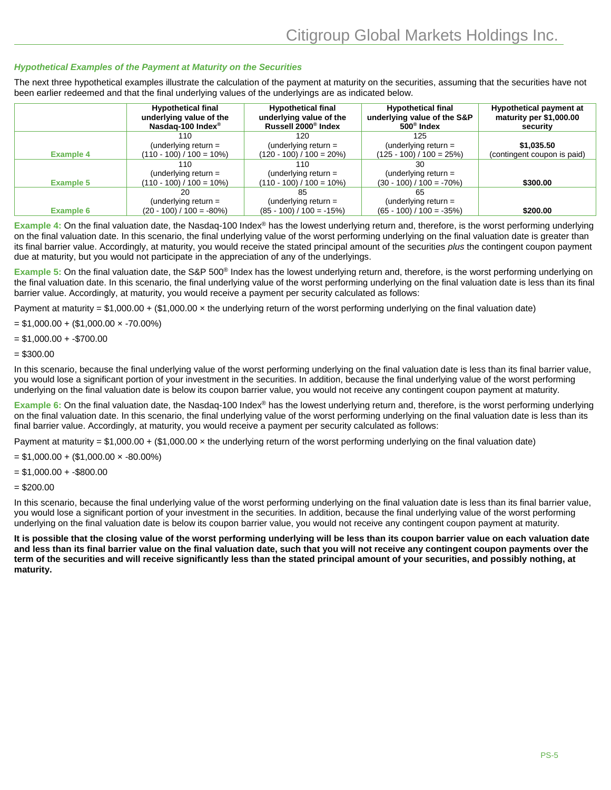#### *Hypothetical Examples of the Payment at Maturity on the Securities*

The next three hypothetical examples illustrate the calculation of the payment at maturity on the securities, assuming that the securities have not been earlier redeemed and that the final underlying values of the underlyings are as indicated below.

|                  | <b>Hypothetical final</b><br>underlying value of the<br>Nasdag-100 Index <sup>®</sup> | <b>Hypothetical final</b><br>underlying value of the<br>Russell 2000 <sup>®</sup> Index | <b>Hypothetical final</b><br>underlying value of the S&P<br>$500^{\circ}$ Index | Hypothetical payment at<br>maturity per \$1,000.00<br>security |
|------------------|---------------------------------------------------------------------------------------|-----------------------------------------------------------------------------------------|---------------------------------------------------------------------------------|----------------------------------------------------------------|
|                  | 110                                                                                   | 120                                                                                     | 125                                                                             |                                                                |
|                  | (underlying return $=$                                                                | (underlying return $=$                                                                  | (underlying return $=$                                                          | \$1,035.50                                                     |
| <b>Example 4</b> | $(110 - 100) / 100 = 10\%)$                                                           | $(120 - 100) / 100 = 20\%)$                                                             | $(125 - 100) / 100 = 25\%)$                                                     | (contingent coupon is paid)                                    |
|                  | 110                                                                                   | 110                                                                                     | 30                                                                              |                                                                |
|                  | (underlying return $=$                                                                | (underlying return $=$                                                                  | (underlying return $=$                                                          |                                                                |
| <b>Example 5</b> | $(110 - 100) / 100 = 10\%)$                                                           | $(110 - 100) / 100 = 10\%)$                                                             | $(30 - 100) / 100 = -70\%)$                                                     | \$300.00                                                       |
|                  | 20                                                                                    |                                                                                         | 65                                                                              |                                                                |
|                  | (underlying return $=$                                                                | (underlying return $=$                                                                  | (underlying return $=$                                                          |                                                                |
| <b>Example 6</b> | $(20 - 100) / 100 = -80\%)$                                                           | $(85 - 100) / 100 = -15\%)$                                                             | $(65 - 100) / 100 = -35\%)$                                                     | \$200.00                                                       |

**Example 4:** On the final valuation date, the Nasdaq-100 Index® has the lowest underlying return and, therefore, is the worst performing underlying on the final valuation date. In this scenario, the final underlying value of the worst performing underlying on the final valuation date is greater than its final barrier value. Accordingly, at maturity, you would receive the stated principal amount of the securities *plus* the contingent coupon payment due at maturity, but you would not participate in the appreciation of any of the underlyings.

**Example 5:** On the final valuation date, the S&P 500® Index has the lowest underlying return and, therefore, is the worst performing underlying on the final valuation date. In this scenario, the final underlying value of the worst performing underlying on the final valuation date is less than its final barrier value. Accordingly, at maturity, you would receive a payment per security calculated as follows:

Payment at maturity =  $$1,000.00 + ($1,000.00 \times the underlying return of the worst performing underlying on the final valuation date)$ 

 $= $1,000.00 + ($1,000.00 \times -70.00\%)$ 

 $= $1,000.00 + $700.00$ 

 $= $300.00$ 

In this scenario, because the final underlying value of the worst performing underlying on the final valuation date is less than its final barrier value, you would lose a significant portion of your investment in the securities. In addition, because the final underlying value of the worst performing underlying on the final valuation date is below its coupon barrier value, you would not receive any contingent coupon payment at maturity.

**Example 6:** On the final valuation date, the Nasdaq-100 Index<sup>®</sup> has the lowest underlying return and, therefore, is the worst performing underlying on the final valuation date. In this scenario, the final underlying value of the worst performing underlying on the final valuation date is less than its final barrier value. Accordingly, at maturity, you would receive a payment per security calculated as follows:

Payment at maturity =  $$1,000.00 + ($1,000.00 \times the underlying return of the worst performing underlying on the final valuation date)$ 

 $= $1,000.00 + ($1,000.00 \times 0.00\%)$ 

 $= $1,000.00 + - $800.00$ 

 $= $200.00$ 

In this scenario, because the final underlying value of the worst performing underlying on the final valuation date is less than its final barrier value, you would lose a significant portion of your investment in the securities. In addition, because the final underlying value of the worst performing underlying on the final valuation date is below its coupon barrier value, you would not receive any contingent coupon payment at maturity.

**It is possible that the closing value of the worst performing underlying will be less than its coupon barrier value on each valuation date and less than its final barrier value on the final valuation date, such that you will not receive any contingent coupon payments over the term of the securities and will receive significantly less than the stated principal amount of your securities, and possibly nothing, at maturity.**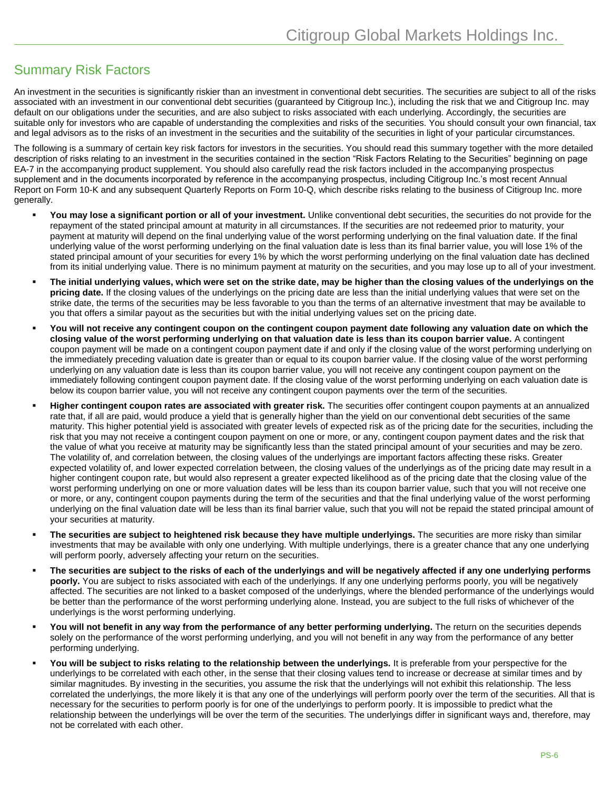### <span id="page-5-0"></span>Summary Risk Factors

An investment in the securities is significantly riskier than an investment in conventional debt securities. The securities are subject to all of the risks associated with an investment in our conventional debt securities (guaranteed by Citigroup Inc.), including the risk that we and Citigroup Inc. may default on our obligations under the securities, and are also subject to risks associated with each underlying. Accordingly, the securities are suitable only for investors who are capable of understanding the complexities and risks of the securities. You should consult your own financial, tax and legal advisors as to the risks of an investment in the securities and the suitability of the securities in light of your particular circumstances.

The following is a summary of certain key risk factors for investors in the securities. You should read this summary together with the more detailed description of risks relating to an investment in the securities contained in the section "Risk Factors Relating to the Securities" beginning on page EA-7 in the accompanying product supplement. You should also carefully read the risk factors included in the accompanying prospectus supplement and in the documents incorporated by reference in the accompanying prospectus, including Citigroup Inc.'s most recent Annual Report on Form 10-K and any subsequent Quarterly Reports on Form 10-Q, which describe risks relating to the business of Citigroup Inc. more generally.

- You may lose a significant portion or all of your investment. Unlike conventional debt securities, the securities do not provide for the repayment of the stated principal amount at maturity in all circumstances. If the securities are not redeemed prior to maturity, your payment at maturity will depend on the final underlying value of the worst performing underlying on the final valuation date. If the final underlying value of the worst performing underlying on the final valuation date is less than its final barrier value, you will lose 1% of the stated principal amount of your securities for every 1% by which the worst performing underlying on the final valuation date has declined from its initial underlying value. There is no minimum payment at maturity on the securities, and you may lose up to all of your investment.
- **The initial underlying values, which were set on the strike date, may be higher than the closing values of the underlyings on the pricing date.** If the closing values of the underlyings on the pricing date are less than the initial underlying values that were set on the strike date, the terms of the securities may be less favorable to you than the terms of an alternative investment that may be available to you that offers a similar payout as the securities but with the initial underlying values set on the pricing date.
- **You will not receive any contingent coupon on the contingent coupon payment date following any valuation date on which the closing value of the worst performing underlying on that valuation date is less than its coupon barrier value.** A contingent coupon payment will be made on a contingent coupon payment date if and only if the closing value of the worst performing underlying on the immediately preceding valuation date is greater than or equal to its coupon barrier value. If the closing value of the worst performing underlying on any valuation date is less than its coupon barrier value, you will not receive any contingent coupon payment on the immediately following contingent coupon payment date. If the closing value of the worst performing underlying on each valuation date is below its coupon barrier value, you will not receive any contingent coupon payments over the term of the securities.
- **Higher contingent coupon rates are associated with greater risk.** The securities offer contingent coupon payments at an annualized rate that, if all are paid, would produce a yield that is generally higher than the yield on our conventional debt securities of the same maturity. This higher potential yield is associated with greater levels of expected risk as of the pricing date for the securities, including the risk that you may not receive a contingent coupon payment on one or more, or any, contingent coupon payment dates and the risk that the value of what you receive at maturity may be significantly less than the stated principal amount of your securities and may be zero. The volatility of, and correlation between, the closing values of the underlyings are important factors affecting these risks. Greater expected volatility of, and lower expected correlation between, the closing values of the underlyings as of the pricing date may result in a higher contingent coupon rate, but would also represent a greater expected likelihood as of the pricing date that the closing value of the worst performing underlying on one or more valuation dates will be less than its coupon barrier value, such that you will not receive one or more, or any, contingent coupon payments during the term of the securities and that the final underlying value of the worst performing underlying on the final valuation date will be less than its final barrier value, such that you will not be repaid the stated principal amount of your securities at maturity.
- **The securities are subject to heightened risk because they have multiple underlyings.** The securities are more risky than similar investments that may be available with only one underlying. With multiple underlyings, there is a greater chance that any one underlying will perform poorly, adversely affecting your return on the securities.
- **The securities are subject to the risks of each of the underlyings and will be negatively affected if any one underlying performs poorly.** You are subject to risks associated with each of the underlyings. If any one underlying performs poorly, you will be negatively affected. The securities are not linked to a basket composed of the underlyings, where the blended performance of the underlyings would be better than the performance of the worst performing underlying alone. Instead, you are subject to the full risks of whichever of the underlyings is the worst performing underlying.
- **You will not benefit in any way from the performance of any better performing underlying.** The return on the securities depends solely on the performance of the worst performing underlying, and you will not benefit in any way from the performance of any better performing underlying.
- **You will be subject to risks relating to the relationship between the underlyings.** It is preferable from your perspective for the underlyings to be correlated with each other, in the sense that their closing values tend to increase or decrease at similar times and by similar magnitudes. By investing in the securities, you assume the risk that the underlyings will not exhibit this relationship. The less correlated the underlyings, the more likely it is that any one of the underlyings will perform poorly over the term of the securities. All that is necessary for the securities to perform poorly is for one of the underlyings to perform poorly. It is impossible to predict what the relationship between the underlyings will be over the term of the securities. The underlyings differ in significant ways and, therefore, may not be correlated with each other.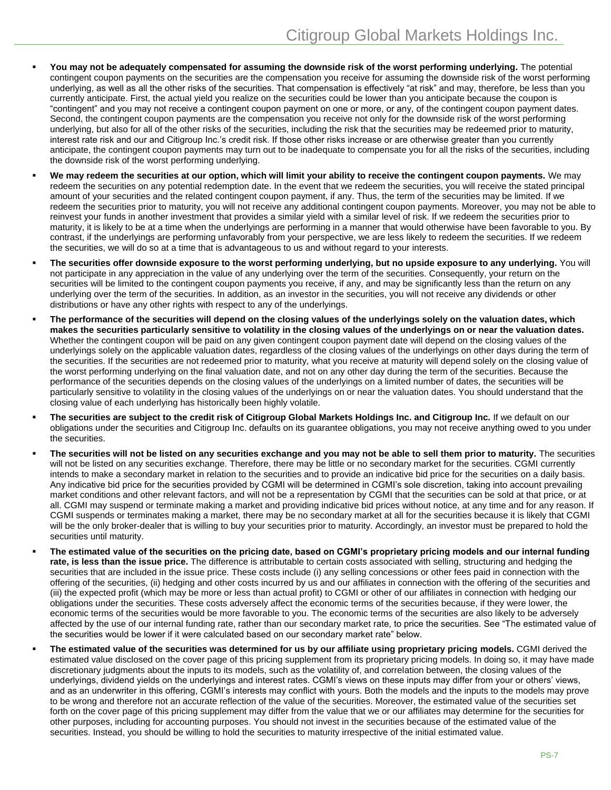- **You may not be adequately compensated for assuming the downside risk of the worst performing underlying.** The potential contingent coupon payments on the securities are the compensation you receive for assuming the downside risk of the worst performing underlying, as well as all the other risks of the securities. That compensation is effectively "at risk" and may, therefore, be less than you currently anticipate. First, the actual yield you realize on the securities could be lower than you anticipate because the coupon is "contingent" and you may not receive a contingent coupon payment on one or more, or any, of the contingent coupon payment dates. Second, the contingent coupon payments are the compensation you receive not only for the downside risk of the worst performing underlying, but also for all of the other risks of the securities, including the risk that the securities may be redeemed prior to maturity, interest rate risk and our and Citigroup Inc.'s credit risk. If those other risks increase or are otherwise greater than you currently anticipate, the contingent coupon payments may turn out to be inadequate to compensate you for all the risks of the securities, including the downside risk of the worst performing underlying.
- **We may redeem the securities at our option, which will limit your ability to receive the contingent coupon payments.** We may redeem the securities on any potential redemption date. In the event that we redeem the securities, you will receive the stated principal amount of your securities and the related contingent coupon payment, if any. Thus, the term of the securities may be limited. If we redeem the securities prior to maturity, you will not receive any additional contingent coupon payments. Moreover, you may not be able to reinvest your funds in another investment that provides a similar yield with a similar level of risk. If we redeem the securities prior to maturity, it is likely to be at a time when the underlyings are performing in a manner that would otherwise have been favorable to you. By contrast, if the underlyings are performing unfavorably from your perspective, we are less likely to redeem the securities. If we redeem the securities, we will do so at a time that is advantageous to us and without regard to your interests.
- **The securities offer downside exposure to the worst performing underlying, but no upside exposure to any underlying.** You will not participate in any appreciation in the value of any underlying over the term of the securities. Consequently, your return on the securities will be limited to the contingent coupon payments you receive, if any, and may be significantly less than the return on any underlying over the term of the securities. In addition, as an investor in the securities, you will not receive any dividends or other distributions or have any other rights with respect to any of the underlyings.
- **The performance of the securities will depend on the closing values of the underlyings solely on the valuation dates, which makes the securities particularly sensitive to volatility in the closing values of the underlyings on or near the valuation dates.** Whether the contingent coupon will be paid on any given contingent coupon payment date will depend on the closing values of the underlyings solely on the applicable valuation dates, regardless of the closing values of the underlyings on other days during the term of the securities. If the securities are not redeemed prior to maturity, what you receive at maturity will depend solely on the closing value of the worst performing underlying on the final valuation date, and not on any other day during the term of the securities. Because the performance of the securities depends on the closing values of the underlyings on a limited number of dates, the securities will be particularly sensitive to volatility in the closing values of the underlyings on or near the valuation dates. You should understand that the closing value of each underlying has historically been highly volatile.
- **The securities are subject to the credit risk of Citigroup Global Markets Holdings Inc. and Citigroup Inc.** If we default on our obligations under the securities and Citigroup Inc. defaults on its guarantee obligations, you may not receive anything owed to you under the securities.
- **The securities will not be listed on any securities exchange and you may not be able to sell them prior to maturity.** The securities will not be listed on any securities exchange. Therefore, there may be little or no secondary market for the securities. CGMI currently intends to make a secondary market in relation to the securities and to provide an indicative bid price for the securities on a daily basis. Any indicative bid price for the securities provided by CGMI will be determined in CGMI's sole discretion, taking into account prevailing market conditions and other relevant factors, and will not be a representation by CGMI that the securities can be sold at that price, or at all. CGMI may suspend or terminate making a market and providing indicative bid prices without notice, at any time and for any reason. If CGMI suspends or terminates making a market, there may be no secondary market at all for the securities because it is likely that CGMI will be the only broker-dealer that is willing to buy your securities prior to maturity. Accordingly, an investor must be prepared to hold the securities until maturity.
- **The estimated value of the securities on the pricing date, based on CGMI's proprietary pricing models and our internal funding rate, is less than the issue price.** The difference is attributable to certain costs associated with selling, structuring and hedging the securities that are included in the issue price. These costs include (i) any selling concessions or other fees paid in connection with the offering of the securities, (ii) hedging and other costs incurred by us and our affiliates in connection with the offering of the securities and (iii) the expected profit (which may be more or less than actual profit) to CGMI or other of our affiliates in connection with hedging our obligations under the securities. These costs adversely affect the economic terms of the securities because, if they were lower, the economic terms of the securities would be more favorable to you. The economic terms of the securities are also likely to be adversely affected by the use of our internal funding rate, rather than our secondary market rate, to price the securities. See "The estimated value of the securities would be lower if it were calculated based on our secondary market rate" below.
- **The estimated value of the securities was determined for us by our affiliate using proprietary pricing models.** CGMI derived the estimated value disclosed on the cover page of this pricing supplement from its proprietary pricing models. In doing so, it may have made discretionary judgments about the inputs to its models, such as the volatility of, and correlation between, the closing values of the underlyings, dividend yields on the underlyings and interest rates. CGMI's views on these inputs may differ from your or others' views, and as an underwriter in this offering, CGMI's interests may conflict with yours. Both the models and the inputs to the models may prove to be wrong and therefore not an accurate reflection of the value of the securities. Moreover, the estimated value of the securities set forth on the cover page of this pricing supplement may differ from the value that we or our affiliates may determine for the securities for other purposes, including for accounting purposes. You should not invest in the securities because of the estimated value of the securities. Instead, you should be willing to hold the securities to maturity irrespective of the initial estimated value.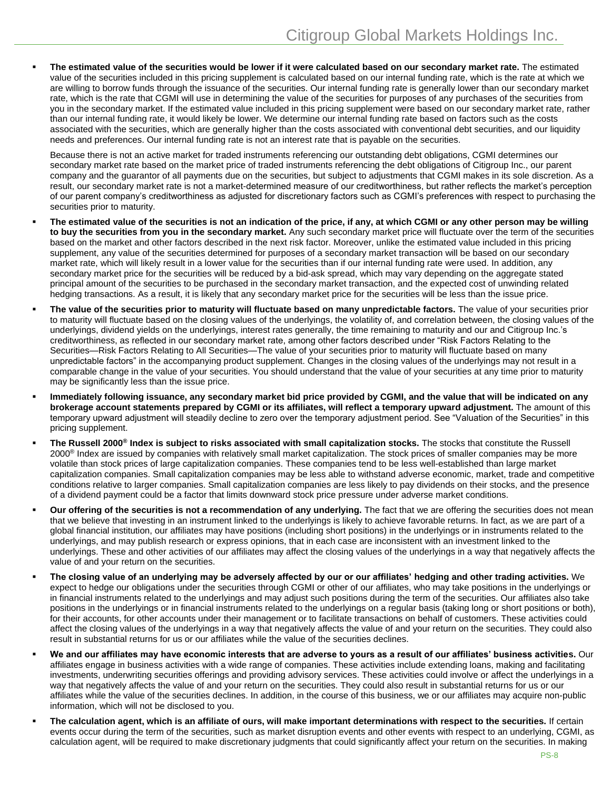**The estimated value of the securities would be lower if it were calculated based on our secondary market rate.** The estimated value of the securities included in this pricing supplement is calculated based on our internal funding rate, which is the rate at which we are willing to borrow funds through the issuance of the securities. Our internal funding rate is generally lower than our secondary market rate, which is the rate that CGMI will use in determining the value of the securities for purposes of any purchases of the securities from you in the secondary market. If the estimated value included in this pricing supplement were based on our secondary market rate, rather than our internal funding rate, it would likely be lower. We determine our internal funding rate based on factors such as the costs associated with the securities, which are generally higher than the costs associated with conventional debt securities, and our liquidity needs and preferences. Our internal funding rate is not an interest rate that is payable on the securities.

Because there is not an active market for traded instruments referencing our outstanding debt obligations, CGMI determines our secondary market rate based on the market price of traded instruments referencing the debt obligations of Citigroup Inc., our parent company and the guarantor of all payments due on the securities, but subject to adjustments that CGMI makes in its sole discretion. As a result, our secondary market rate is not a market-determined measure of our creditworthiness, but rather reflects the market's perception of our parent company's creditworthiness as adjusted for discretionary factors such as CGMI's preferences with respect to purchasing the securities prior to maturity.

- **The estimated value of the securities is not an indication of the price, if any, at which CGMI or any other person may be willing to buy the securities from you in the secondary market.** Any such secondary market price will fluctuate over the term of the securities based on the market and other factors described in the next risk factor. Moreover, unlike the estimated value included in this pricing supplement, any value of the securities determined for purposes of a secondary market transaction will be based on our secondary market rate, which will likely result in a lower value for the securities than if our internal funding rate were used. In addition, any secondary market price for the securities will be reduced by a bid-ask spread, which may vary depending on the aggregate stated principal amount of the securities to be purchased in the secondary market transaction, and the expected cost of unwinding related hedging transactions. As a result, it is likely that any secondary market price for the securities will be less than the issue price.
- **The value of the securities prior to maturity will fluctuate based on many unpredictable factors.** The value of your securities prior to maturity will fluctuate based on the closing values of the underlyings, the volatility of, and correlation between, the closing values of the underlyings, dividend yields on the underlyings, interest rates generally, the time remaining to maturity and our and Citigroup Inc.'s creditworthiness, as reflected in our secondary market rate, among other factors described under "Risk Factors Relating to the Securities—Risk Factors Relating to All Securities—The value of your securities prior to maturity will fluctuate based on many unpredictable factors" in the accompanying product supplement. Changes in the closing values of the underlyings may not result in a comparable change in the value of your securities. You should understand that the value of your securities at any time prior to maturity may be significantly less than the issue price.
- **Immediately following issuance, any secondary market bid price provided by CGMI, and the value that will be indicated on any brokerage account statements prepared by CGMI or its affiliates, will reflect a temporary upward adjustment.** The amount of this temporary upward adjustment will steadily decline to zero over the temporary adjustment period. See "Valuation of the Securities" in this pricing supplement.
- **The Russell 2000® Index is subject to risks associated with small capitalization stocks.** The stocks that constitute the Russell 2000<sup>®</sup> Index are issued by companies with relatively small market capitalization. The stock prices of smaller companies may be more volatile than stock prices of large capitalization companies. These companies tend to be less well-established than large market capitalization companies. Small capitalization companies may be less able to withstand adverse economic, market, trade and competitive conditions relative to larger companies. Small capitalization companies are less likely to pay dividends on their stocks, and the presence of a dividend payment could be a factor that limits downward stock price pressure under adverse market conditions.
- **Our offering of the securities is not a recommendation of any underlying.** The fact that we are offering the securities does not mean that we believe that investing in an instrument linked to the underlyings is likely to achieve favorable returns. In fact, as we are part of a global financial institution, our affiliates may have positions (including short positions) in the underlyings or in instruments related to the underlyings, and may publish research or express opinions, that in each case are inconsistent with an investment linked to the underlyings. These and other activities of our affiliates may affect the closing values of the underlyings in a way that negatively affects the value of and your return on the securities.
- **The closing value of an underlying may be adversely affected by our or our affiliates' hedging and other trading activities.** We expect to hedge our obligations under the securities through CGMI or other of our affiliates, who may take positions in the underlyings or in financial instruments related to the underlyings and may adjust such positions during the term of the securities. Our affiliates also take positions in the underlyings or in financial instruments related to the underlyings on a regular basis (taking long or short positions or both), for their accounts, for other accounts under their management or to facilitate transactions on behalf of customers. These activities could affect the closing values of the underlyings in a way that negatively affects the value of and your return on the securities. They could also result in substantial returns for us or our affiliates while the value of the securities declines.
- **We and our affiliates may have economic interests that are adverse to yours as a result of our affiliates' business activities.** Our affiliates engage in business activities with a wide range of companies. These activities include extending loans, making and facilitating investments, underwriting securities offerings and providing advisory services. These activities could involve or affect the underlyings in a way that negatively affects the value of and your return on the securities. They could also result in substantial returns for us or our affiliates while the value of the securities declines. In addition, in the course of this business, we or our affiliates may acquire non-public information, which will not be disclosed to you.
- **The calculation agent, which is an affiliate of ours, will make important determinations with respect to the securities.** If certain events occur during the term of the securities, such as market disruption events and other events with respect to an underlying, CGMI, as calculation agent, will be required to make discretionary judgments that could significantly affect your return on the securities. In making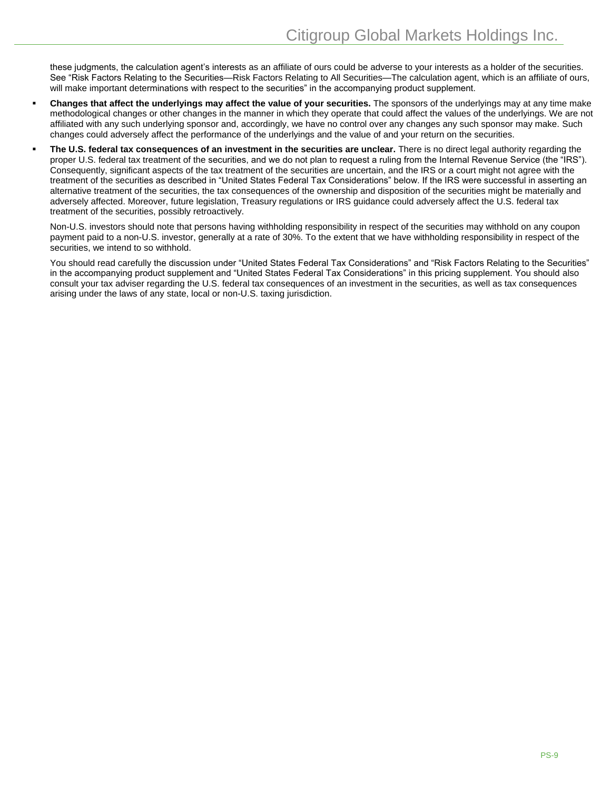these judgments, the calculation agent's interests as an affiliate of ours could be adverse to your interests as a holder of the securities. See "Risk Factors Relating to the Securities—Risk Factors Relating to All Securities—The calculation agent, which is an affiliate of ours, will make important determinations with respect to the securities" in the accompanying product supplement.

- **Changes that affect the underlyings may affect the value of your securities.** The sponsors of the underlyings may at any time make methodological changes or other changes in the manner in which they operate that could affect the values of the underlyings. We are not affiliated with any such underlying sponsor and, accordingly, we have no control over any changes any such sponsor may make. Such changes could adversely affect the performance of the underlyings and the value of and your return on the securities.
- **The U.S. federal tax consequences of an investment in the securities are unclear.** There is no direct legal authority regarding the proper U.S. federal tax treatment of the securities, and we do not plan to request a ruling from the Internal Revenue Service (the "IRS"). Consequently, significant aspects of the tax treatment of the securities are uncertain, and the IRS or a court might not agree with the treatment of the securities as described in "United States Federal Tax Considerations" below. If the IRS were successful in asserting an alternative treatment of the securities, the tax consequences of the ownership and disposition of the securities might be materially and adversely affected. Moreover, future legislation, Treasury regulations or IRS guidance could adversely affect the U.S. federal tax treatment of the securities, possibly retroactively.

Non-U.S. investors should note that persons having withholding responsibility in respect of the securities may withhold on any coupon payment paid to a non-U.S. investor, generally at a rate of 30%. To the extent that we have withholding responsibility in respect of the securities, we intend to so withhold.

You should read carefully the discussion under "United States Federal Tax Considerations" and "Risk Factors Relating to the Securities" in the accompanying product supplement and "United States Federal Tax Considerations" in this pricing supplement. You should also consult your tax adviser regarding the U.S. federal tax consequences of an investment in the securities, as well as tax consequences arising under the laws of any state, local or non-U.S. taxing jurisdiction.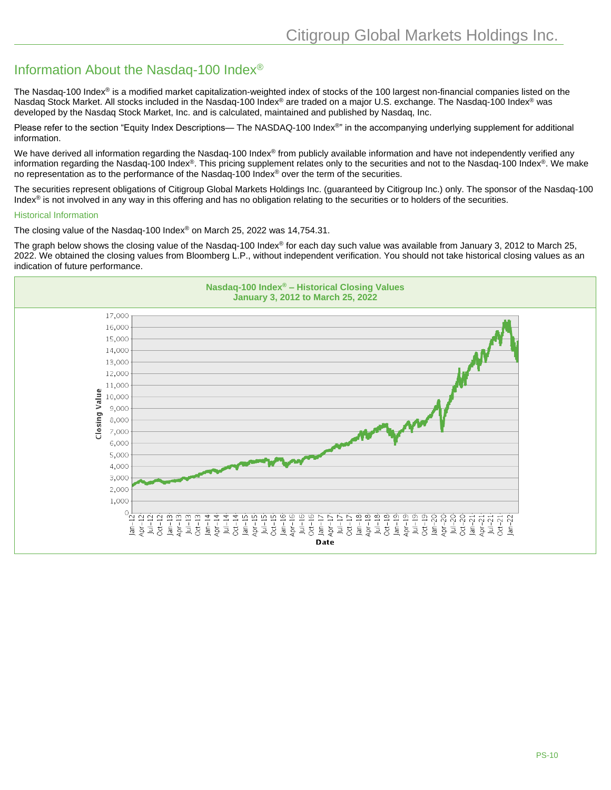## Information About the Nasdaq-100 Index®

The Nasdaq-100 Index<sup>®</sup> is a modified market capitalization-weighted index of stocks of the 100 largest non-financial companies listed on the Nasdaq Stock Market. All stocks included in the Nasdaq-100 Index® are traded on a major U.S. exchange. The Nasdaq-100 Index® was developed by the Nasdaq Stock Market, Inc. and is calculated, maintained and published by Nasdaq, Inc.

Please refer to the section "Equity Index Descriptions— The NASDAQ-100 Index<sup>®</sup>" in the accompanying underlying supplement for additional information.

We have derived all information regarding the Nasdaq-100 Index® from publicly available information and have not independently verified any information regarding the Nasdaq-100 Index®. This pricing supplement relates only to the securities and not to the Nasdaq-100 Index®. We make no representation as to the performance of the Nasdaq-100 Index<sup>®</sup> over the term of the securities.

The securities represent obligations of Citigroup Global Markets Holdings Inc. (guaranteed by Citigroup Inc.) only. The sponsor of the Nasdaq-100 Index<sup>®</sup> is not involved in any way in this offering and has no obligation relating to the securities or to holders of the securities.

#### Historical Information

The closing value of the Nasdaq-100 Index® on March 25, 2022 was 14,754.31.

The graph below shows the closing value of the Nasdaq-100 Index® for each day such value was available from January 3, 2012 to March 25, 2022. We obtained the closing values from Bloomberg L.P., without independent verification. You should not take historical closing values as an indication of future performance.

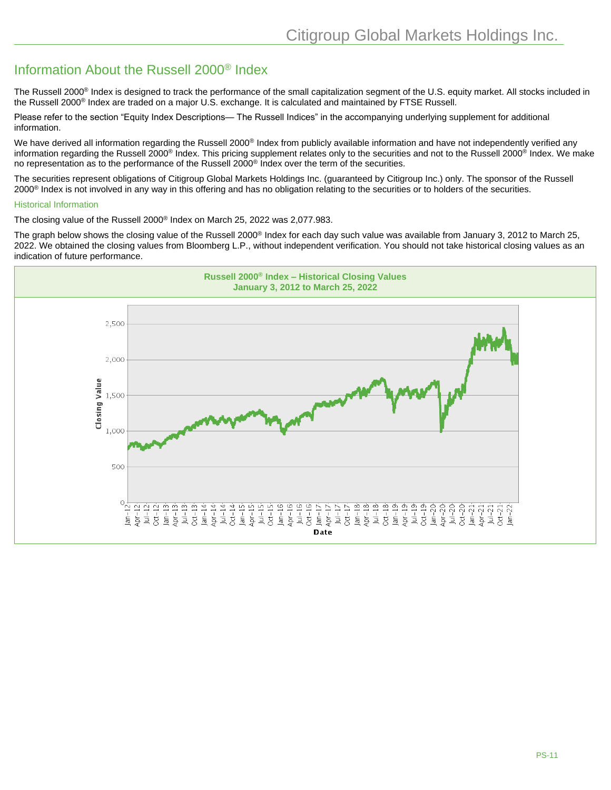## Information About the Russell 2000® Index

The Russell 2000<sup>®</sup> Index is designed to track the performance of the small capitalization segment of the U.S. equity market. All stocks included in the Russell 2000® Index are traded on a major U.S. exchange. It is calculated and maintained by FTSE Russell.

Please refer to the section "Equity Index Descriptions— The Russell Indices" in the accompanying underlying supplement for additional information.

We have derived all information regarding the Russell 2000<sup>®</sup> Index from publicly available information and have not independently verified any information regarding the Russell 2000<sup>®</sup> Index. This pricing supplement relates only to the securities and not to the Russell 2000<sup>®</sup> Index. We make no representation as to the performance of the Russell 2000® Index over the term of the securities.

The securities represent obligations of Citigroup Global Markets Holdings Inc. (guaranteed by Citigroup Inc.) only. The sponsor of the Russell 2000® Index is not involved in any way in this offering and has no obligation relating to the securities or to holders of the securities.

#### Historical Information

The closing value of the Russell 2000® Index on March 25, 2022 was 2,077.983.

The graph below shows the closing value of the Russell 2000<sup>®</sup> Index for each day such value was available from January 3, 2012 to March 25, 2022. We obtained the closing values from Bloomberg L.P., without independent verification. You should not take historical closing values as an indication of future performance.

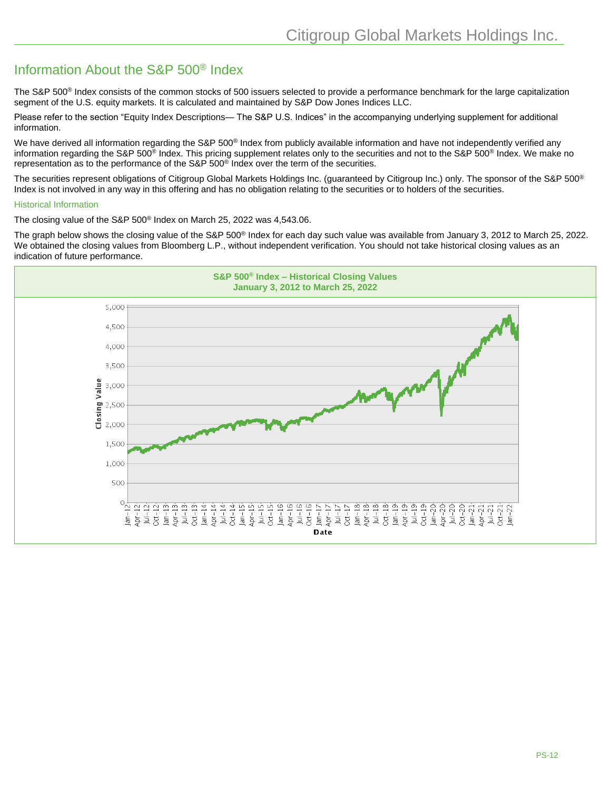## Information About the S&P 500® Index

The S&P 500<sup>®</sup> Index consists of the common stocks of 500 issuers selected to provide a performance benchmark for the large capitalization segment of the U.S. equity markets. It is calculated and maintained by S&P Dow Jones Indices LLC.

Please refer to the section "Equity Index Descriptions— The S&P U.S. Indices" in the accompanying underlying supplement for additional information.

We have derived all information regarding the S&P 500<sup>®</sup> Index from publicly available information and have not independently verified any information regarding the S&P 500<sup>®</sup> Index. This pricing supplement relates only to the securities and not to the S&P 500<sup>®</sup> Index. We make no representation as to the performance of the S&P 500® Index over the term of the securities.

The securities represent obligations of Citigroup Global Markets Holdings Inc. (guaranteed by Citigroup Inc.) only. The sponsor of the S&P 500<sup>®</sup> Index is not involved in any way in this offering and has no obligation relating to the securities or to holders of the securities.

#### Historical Information

The closing value of the S&P 500® Index on March 25, 2022 was 4,543.06.

The graph below shows the closing value of the S&P 500® Index for each day such value was available from January 3, 2012 to March 25, 2022. We obtained the closing values from Bloomberg L.P., without independent verification. You should not take historical closing values as an indication of future performance.

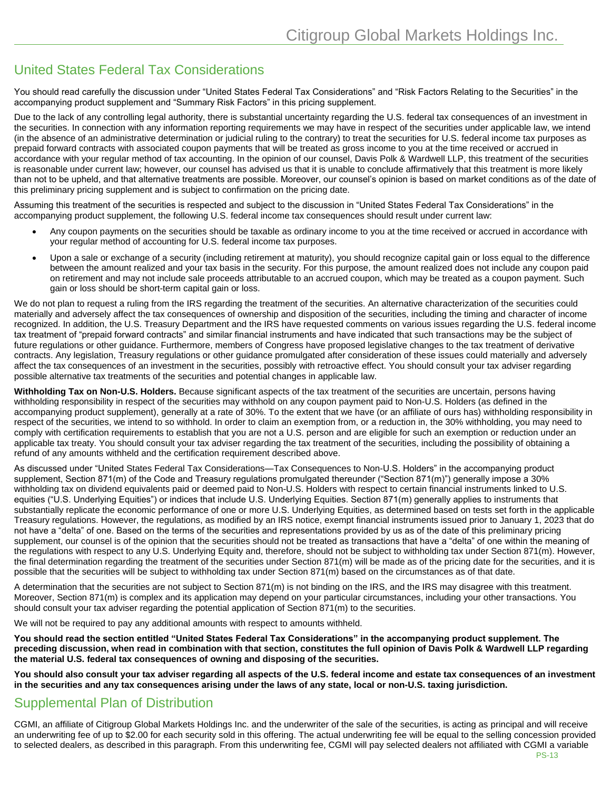## United States Federal Tax Considerations

You should read carefully the discussion under "United States Federal Tax Considerations" and "Risk Factors Relating to the Securities" in the accompanying product supplement and "Summary Risk Factors" in this pricing supplement.

Due to the lack of any controlling legal authority, there is substantial uncertainty regarding the U.S. federal tax consequences of an investment in the securities. In connection with any information reporting requirements we may have in respect of the securities under applicable law, we intend (in the absence of an administrative determination or judicial ruling to the contrary) to treat the securities for U.S. federal income tax purposes as prepaid forward contracts with associated coupon payments that will be treated as gross income to you at the time received or accrued in accordance with your regular method of tax accounting. In the opinion of our counsel, Davis Polk & Wardwell LLP, this treatment of the securities is reasonable under current law; however, our counsel has advised us that it is unable to conclude affirmatively that this treatment is more likely than not to be upheld, and that alternative treatments are possible. Moreover, our counsel's opinion is based on market conditions as of the date of this preliminary pricing supplement and is subject to confirmation on the pricing date.

Assuming this treatment of the securities is respected and subject to the discussion in "United States Federal Tax Considerations" in the accompanying product supplement, the following U.S. federal income tax consequences should result under current law:

- Any coupon payments on the securities should be taxable as ordinary income to you at the time received or accrued in accordance with your regular method of accounting for U.S. federal income tax purposes.
- Upon a sale or exchange of a security (including retirement at maturity), you should recognize capital gain or loss equal to the difference between the amount realized and your tax basis in the security. For this purpose, the amount realized does not include any coupon paid on retirement and may not include sale proceeds attributable to an accrued coupon, which may be treated as a coupon payment. Such gain or loss should be short-term capital gain or loss.

We do not plan to request a ruling from the IRS regarding the treatment of the securities. An alternative characterization of the securities could materially and adversely affect the tax consequences of ownership and disposition of the securities, including the timing and character of income recognized. In addition, the U.S. Treasury Department and the IRS have requested comments on various issues regarding the U.S. federal income tax treatment of "prepaid forward contracts" and similar financial instruments and have indicated that such transactions may be the subject of future regulations or other guidance. Furthermore, members of Congress have proposed legislative changes to the tax treatment of derivative contracts. Any legislation, Treasury regulations or other guidance promulgated after consideration of these issues could materially and adversely affect the tax consequences of an investment in the securities, possibly with retroactive effect. You should consult your tax adviser regarding possible alternative tax treatments of the securities and potential changes in applicable law.

**Withholding Tax on Non-U.S. Holders.** Because significant aspects of the tax treatment of the securities are uncertain, persons having withholding responsibility in respect of the securities may withhold on any coupon payment paid to Non-U.S. Holders (as defined in the accompanying product supplement), generally at a rate of 30%. To the extent that we have (or an affiliate of ours has) withholding responsibility in respect of the securities, we intend to so withhold. In order to claim an exemption from, or a reduction in, the 30% withholding, you may need to comply with certification requirements to establish that you are not a U.S. person and are eligible for such an exemption or reduction under an applicable tax treaty. You should consult your tax adviser regarding the tax treatment of the securities, including the possibility of obtaining a refund of any amounts withheld and the certification requirement described above.

As discussed under "United States Federal Tax Considerations—Tax Consequences to Non-U.S. Holders" in the accompanying product supplement, Section 871(m) of the Code and Treasury regulations promulgated thereunder ("Section 871(m)") generally impose a 30% withholding tax on dividend equivalents paid or deemed paid to Non-U.S. Holders with respect to certain financial instruments linked to U.S. equities ("U.S. Underlying Equities") or indices that include U.S. Underlying Equities. Section 871(m) generally applies to instruments that substantially replicate the economic performance of one or more U.S. Underlying Equities, as determined based on tests set forth in the applicable Treasury regulations. However, the regulations, as modified by an IRS notice, exempt financial instruments issued prior to January 1, 2023 that do not have a "delta" of one. Based on the terms of the securities and representations provided by us as of the date of this preliminary pricing supplement, our counsel is of the opinion that the securities should not be treated as transactions that have a "delta" of one within the meaning of the regulations with respect to any U.S. Underlying Equity and, therefore, should not be subject to withholding tax under Section 871(m). However, the final determination regarding the treatment of the securities under Section 871(m) will be made as of the pricing date for the securities, and it is possible that the securities will be subject to withholding tax under Section 871(m) based on the circumstances as of that date.

A determination that the securities are not subject to Section 871(m) is not binding on the IRS, and the IRS may disagree with this treatment. Moreover, Section 871(m) is complex and its application may depend on your particular circumstances, including your other transactions. You should consult your tax adviser regarding the potential application of Section 871(m) to the securities.

We will not be required to pay any additional amounts with respect to amounts withheld.

**You should read the section entitled "United States Federal Tax Considerations" in the accompanying product supplement. The preceding discussion, when read in combination with that section, constitutes the full opinion of Davis Polk & Wardwell LLP regarding the material U.S. federal tax consequences of owning and disposing of the securities.**

**You should also consult your tax adviser regarding all aspects of the U.S. federal income and estate tax consequences of an investment in the securities and any tax consequences arising under the laws of any state, local or non-U.S. taxing jurisdiction.**

### Supplemental Plan of Distribution

CGMI, an affiliate of Citigroup Global Markets Holdings Inc. and the underwriter of the sale of the securities, is acting as principal and will receive an underwriting fee of up to \$2.00 for each security sold in this offering. The actual underwriting fee will be equal to the selling concession provided to selected dealers, as described in this paragraph. From this underwriting fee, CGMI will pay selected dealers not affiliated with CGMI a variable